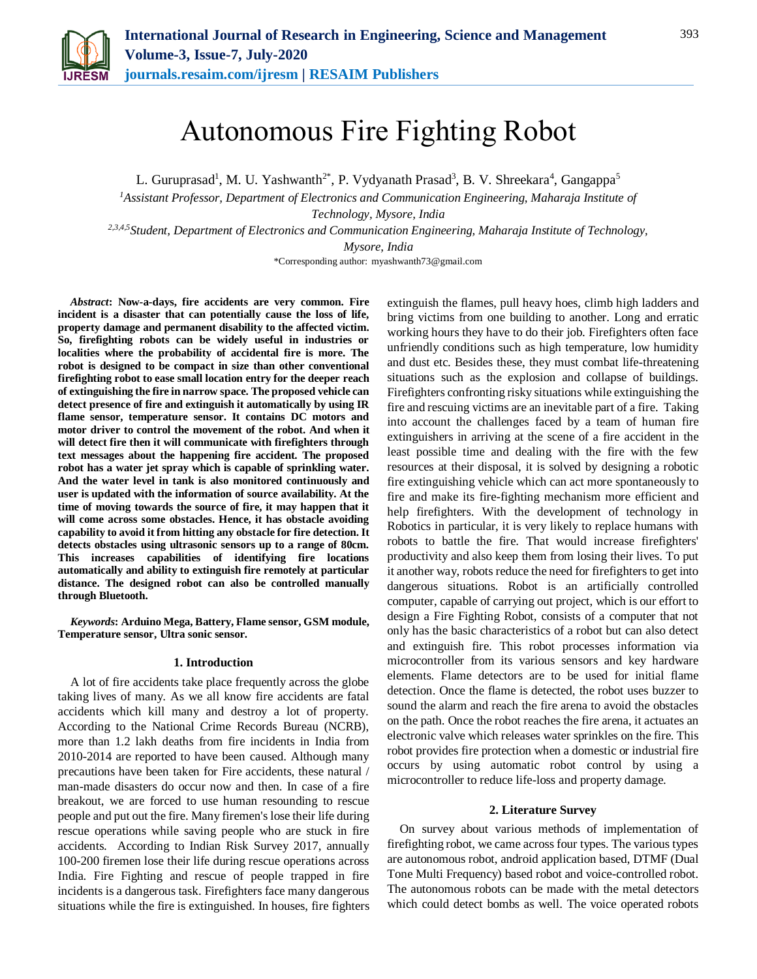

# Autonomous Fire Fighting Robot

L. Guruprasad<sup>1</sup>, M. U. Yashwanth<sup>2\*</sup>, P. Vydyanath Prasad<sup>3</sup>, B. V. Shreekara<sup>4</sup>, Gangappa<sup>5</sup>

*<sup>1</sup>Assistant Professor, Department of Electronics and Communication Engineering, Maharaja Institute of Technology, Mysore, India 2,3,4,5Student, Department of Electronics and Communication Engineering, Maharaja Institute of Technology, Mysore, India*

\*Corresponding author: myashwanth73@gmail.com

*Abstract***: Now-a-days, fire accidents are very common. Fire incident is a disaster that can potentially cause the loss of life, property damage and permanent disability to the affected victim. So, firefighting robots can be widely useful in industries or localities where the probability of accidental fire is more. The robot is designed to be compact in size than other conventional firefighting robot to ease small location entry for the deeper reach of extinguishing the fire in narrow space. The proposed vehicle can detect presence of fire and extinguish it automatically by using IR flame sensor, temperature sensor. It contains DC motors and motor driver to control the movement of the robot. And when it will detect fire then it will communicate with firefighters through text messages about the happening fire accident. The proposed robot has a water jet spray which is capable of sprinkling water. And the water level in tank is also monitored continuously and user is updated with the information of source availability. At the time of moving towards the source of fire, it may happen that it will come across some obstacles. Hence, it has obstacle avoiding capability to avoid it from hitting any obstacle for fire detection. It detects obstacles using ultrasonic sensors up to a range of 80cm. This increases capabilities of identifying fire locations automatically and ability to extinguish fire remotely at particular distance. The designed robot can also be controlled manually through Bluetooth.**

*Keywords***: Arduino Mega, Battery, Flame sensor, GSM module, Temperature sensor, Ultra sonic sensor.**

#### **1. Introduction**

A lot of fire accidents take place frequently across the globe taking lives of many. As we all know fire accidents are fatal accidents which kill many and destroy a lot of property. According to the National Crime Records Bureau (NCRB), more than 1.2 lakh deaths from fire incidents in India from 2010-2014 are reported to have been caused. Although many precautions have been taken for Fire accidents, these natural / man-made disasters do occur now and then. In case of a fire breakout, we are forced to use human resounding to rescue people and put out the fire. Many firemen's lose their life during rescue operations while saving people who are stuck in fire accidents. According to Indian Risk Survey 2017, annually 100-200 firemen lose their life during rescue operations across India. Fire Fighting and rescue of people trapped in fire incidents is a dangerous task. Firefighters face many dangerous situations while the fire is extinguished. In houses, fire fighters extinguish the flames, pull heavy hoes, climb high ladders and bring victims from one building to another. Long and erratic working hours they have to do their job. Firefighters often face unfriendly conditions such as high temperature, low humidity and dust etc. Besides these, they must combat life-threatening situations such as the explosion and collapse of buildings. Firefighters confronting risky situations while extinguishing the fire and rescuing victims are an inevitable part of a fire. Taking into account the challenges faced by a team of human fire extinguishers in arriving at the scene of a fire accident in the least possible time and dealing with the fire with the few resources at their disposal, it is solved by designing a robotic fire extinguishing vehicle which can act more spontaneously to fire and make its fire-fighting mechanism more efficient and help firefighters. With the development of technology in Robotics in particular, it is very likely to replace humans with robots to battle the fire. That would increase firefighters' productivity and also keep them from losing their lives. To put it another way, robots reduce the need for firefighters to get into dangerous situations. Robot is an artificially controlled computer, capable of carrying out project, which is our effort to design a Fire Fighting Robot, consists of a computer that not only has the basic characteristics of a robot but can also detect and extinguish fire. This robot processes information via microcontroller from its various sensors and key hardware elements. Flame detectors are to be used for initial flame detection. Once the flame is detected, the robot uses buzzer to sound the alarm and reach the fire arena to avoid the obstacles on the path. Once the robot reaches the fire arena, it actuates an electronic valve which releases water sprinkles on the fire. This robot provides fire protection when a domestic or industrial fire occurs by using automatic robot control by using a microcontroller to reduce life-loss and property damage.

#### **2. Literature Survey**

On survey about various methods of implementation of firefighting robot, we came across four types. The various types are autonomous robot, android application based, DTMF (Dual Tone Multi Frequency) based robot and voice-controlled robot. The autonomous robots can be made with the metal detectors which could detect bombs as well. The voice operated robots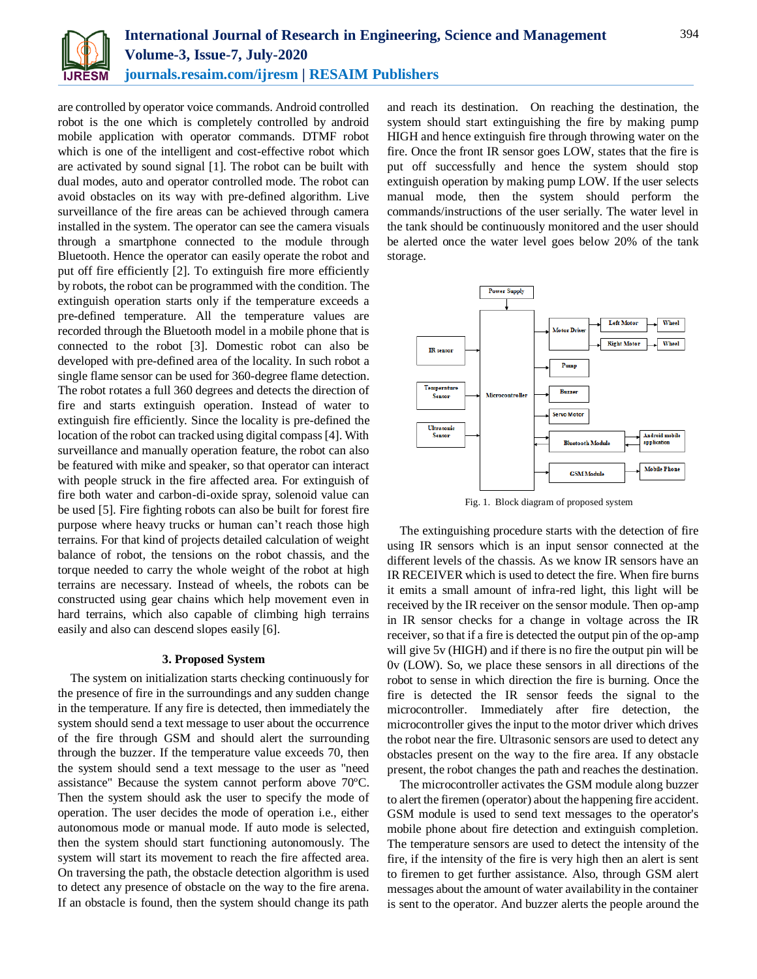

are controlled by operator voice commands. Android controlled robot is the one which is completely controlled by android mobile application with operator commands. DTMF robot which is one of the intelligent and cost-effective robot which are activated by sound signal [1]. The robot can be built with dual modes, auto and operator controlled mode. The robot can avoid obstacles on its way with pre-defined algorithm. Live surveillance of the fire areas can be achieved through camera installed in the system. The operator can see the camera visuals through a smartphone connected to the module through Bluetooth. Hence the operator can easily operate the robot and put off fire efficiently [2]. To extinguish fire more efficiently by robots, the robot can be programmed with the condition. The extinguish operation starts only if the temperature exceeds a pre-defined temperature. All the temperature values are recorded through the Bluetooth model in a mobile phone that is connected to the robot [3]. Domestic robot can also be developed with pre-defined area of the locality. In such robot a single flame sensor can be used for 360-degree flame detection. The robot rotates a full 360 degrees and detects the direction of fire and starts extinguish operation. Instead of water to extinguish fire efficiently. Since the locality is pre-defined the location of the robot can tracked using digital compass [4]. With surveillance and manually operation feature, the robot can also be featured with mike and speaker, so that operator can interact with people struck in the fire affected area. For extinguish of fire both water and carbon-di-oxide spray, solenoid value can be used [5]. Fire fighting robots can also be built for forest fire purpose where heavy trucks or human can't reach those high terrains. For that kind of projects detailed calculation of weight balance of robot, the tensions on the robot chassis, and the torque needed to carry the whole weight of the robot at high terrains are necessary. Instead of wheels, the robots can be constructed using gear chains which help movement even in hard terrains, which also capable of climbing high terrains easily and also can descend slopes easily [6].

#### **3. Proposed System**

The system on initialization starts checking continuously for the presence of fire in the surroundings and any sudden change in the temperature. If any fire is detected, then immediately the system should send a text message to user about the occurrence of the fire through GSM and should alert the surrounding through the buzzer. If the temperature value exceeds 70, then the system should send a text message to the user as "need assistance" Because the system cannot perform above 70ºC. Then the system should ask the user to specify the mode of operation. The user decides the mode of operation i.e., either autonomous mode or manual mode. If auto mode is selected, then the system should start functioning autonomously. The system will start its movement to reach the fire affected area. On traversing the path, the obstacle detection algorithm is used to detect any presence of obstacle on the way to the fire arena. If an obstacle is found, then the system should change its path

and reach its destination. On reaching the destination, the system should start extinguishing the fire by making pump HIGH and hence extinguish fire through throwing water on the fire. Once the front IR sensor goes LOW, states that the fire is put off successfully and hence the system should stop extinguish operation by making pump LOW. If the user selects manual mode, then the system should perform the commands/instructions of the user serially. The water level in the tank should be continuously monitored and the user should be alerted once the water level goes below 20% of the tank storage.



Fig. 1. Block diagram of proposed system

The extinguishing procedure starts with the detection of fire using IR sensors which is an input sensor connected at the different levels of the chassis. As we know IR sensors have an IR RECEIVER which is used to detect the fire. When fire burns it emits a small amount of infra-red light, this light will be received by the IR receiver on the sensor module. Then op-amp in IR sensor checks for a change in voltage across the IR receiver, so that if a fire is detected the output pin of the op-amp will give 5v (HIGH) and if there is no fire the output pin will be 0v (LOW). So, we place these sensors in all directions of the robot to sense in which direction the fire is burning. Once the fire is detected the IR sensor feeds the signal to the microcontroller. Immediately after fire detection, the microcontroller gives the input to the motor driver which drives the robot near the fire. Ultrasonic sensors are used to detect any obstacles present on the way to the fire area. If any obstacle present, the robot changes the path and reaches the destination.

The microcontroller activates the GSM module along buzzer to alert the firemen (operator) about the happening fire accident. GSM module is used to send text messages to the operator's mobile phone about fire detection and extinguish completion. The temperature sensors are used to detect the intensity of the fire, if the intensity of the fire is very high then an alert is sent to firemen to get further assistance. Also, through GSM alert messages about the amount of water availability in the container is sent to the operator. And buzzer alerts the people around the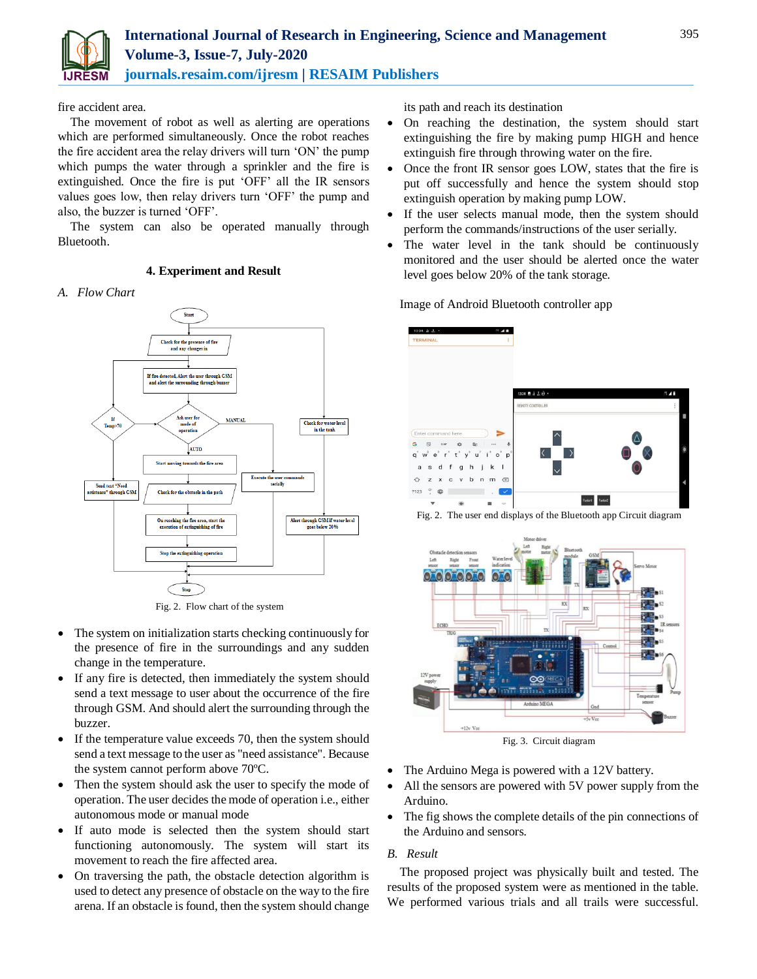

fire accident area.

The movement of robot as well as alerting are operations which are performed simultaneously. Once the robot reaches the fire accident area the relay drivers will turn 'ON' the pump which pumps the water through a sprinkler and the fire is extinguished. Once the fire is put 'OFF' all the IR sensors values goes low, then relay drivers turn 'OFF' the pump and also, the buzzer is turned 'OFF'.

The system can also be operated manually through Bluetooth.

## **4. Experiment and Result**

### *A. Flow Chart*



Fig. 2. Flow chart of the system

- The system on initialization starts checking continuously for the presence of fire in the surroundings and any sudden change in the temperature.
- If any fire is detected, then immediately the system should send a text message to user about the occurrence of the fire through GSM. And should alert the surrounding through the buzzer.
- If the temperature value exceeds 70, then the system should send a text message to the user as "need assistance". Because the system cannot perform above 70ºC.
- Then the system should ask the user to specify the mode of operation. The user decides the mode of operation i.e., either autonomous mode or manual mode
- If auto mode is selected then the system should start functioning autonomously. The system will start its movement to reach the fire affected area.
- On traversing the path, the obstacle detection algorithm is used to detect any presence of obstacle on the way to the fire arena. If an obstacle is found, then the system should change

its path and reach its destination

- On reaching the destination, the system should start extinguishing the fire by making pump HIGH and hence extinguish fire through throwing water on the fire.
- Once the front IR sensor goes LOW, states that the fire is put off successfully and hence the system should stop extinguish operation by making pump LOW.
- If the user selects manual mode, then the system should perform the commands/instructions of the user serially.
- The water level in the tank should be continuously monitored and the user should be alerted once the water level goes below 20% of the tank storage.

### Image of Android Bluetooth controller app



Fig. 2. The user end displays of the Bluetooth app Circuit diagram



Fig. 3. Circuit diagram

- The Arduino Mega is powered with a 12V battery.
- All the sensors are powered with 5V power supply from the Arduino.
- The fig shows the complete details of the pin connections of the Arduino and sensors.

## *B. Result*

The proposed project was physically built and tested. The results of the proposed system were as mentioned in the table. We performed various trials and all trails were successful.